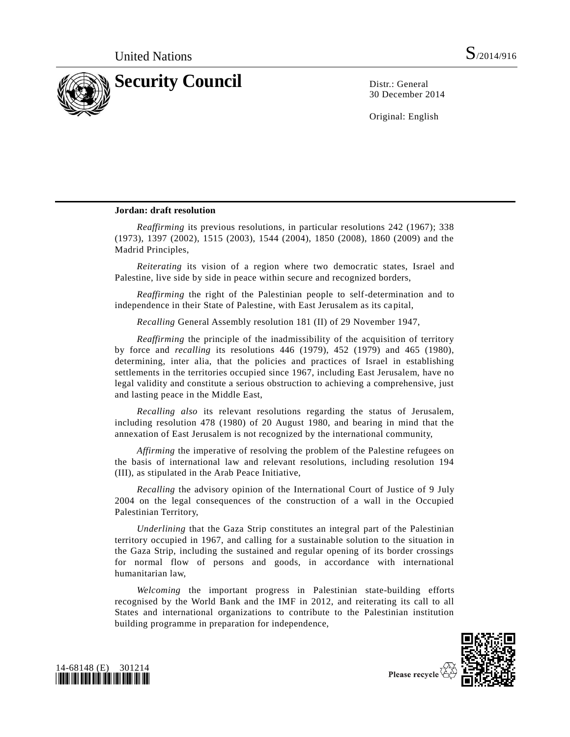

30 December 2014

Original: English

## **Jordan: draft resolution**

*Reaffirming* its previous resolutions, in particular resolutions 242 (1967); 338 (1973), 1397 (2002), 1515 (2003), 1544 (2004), 1850 (2008), 1860 (2009) and the Madrid Principles,

*Reiterating* its vision of a region where two democratic states, Israel and Palestine, live side by side in peace within secure and recognized borders,

*Reaffirming* the right of the Palestinian people to self-determination and to independence in their State of Palestine, with East Jerusalem as its capital,

*Recalling* General Assembly resolution 181 (II) of 29 November 1947,

*Reaffirming* the principle of the inadmissibility of the acquisition of territory by force and *recalling* its resolutions 446 (1979), 452 (1979) and 465 (1980), determining, inter alia, that the policies and practices of Israel in establishing settlements in the territories occupied since 1967, including East Jerusalem, have no legal validity and constitute a serious obstruction to achieving a comprehensive, just and lasting peace in the Middle East,

*Recalling also* its relevant resolutions regarding the status of Jerusalem, including resolution 478 (1980) of 20 August 1980, and bearing in mind that the annexation of East Jerusalem is not recognized by the international community,

*Affirming* the imperative of resolving the problem of the Palestine refugees on the basis of international law and relevant resolutions, including resolution 194 (III), as stipulated in the Arab Peace Initiative,

*Recalling* the advisory opinion of the International Court of Justice of 9 July 2004 on the legal consequences of the construction of a wall in the Occupied Palestinian Territory,

*Underlining* that the Gaza Strip constitutes an integral part of the Palestinian territory occupied in 1967, and calling for a sustainable solution to the situation in the Gaza Strip, including the sustained and regular opening of its border crossings for normal flow of persons and goods, in accordance with international humanitarian law,

*Welcoming* the important progress in Palestinian state-building efforts recognised by the World Bank and the IMF in 2012, and reiterating its call to all States and international organizations to contribute to the Palestinian institution building programme in preparation for independence,



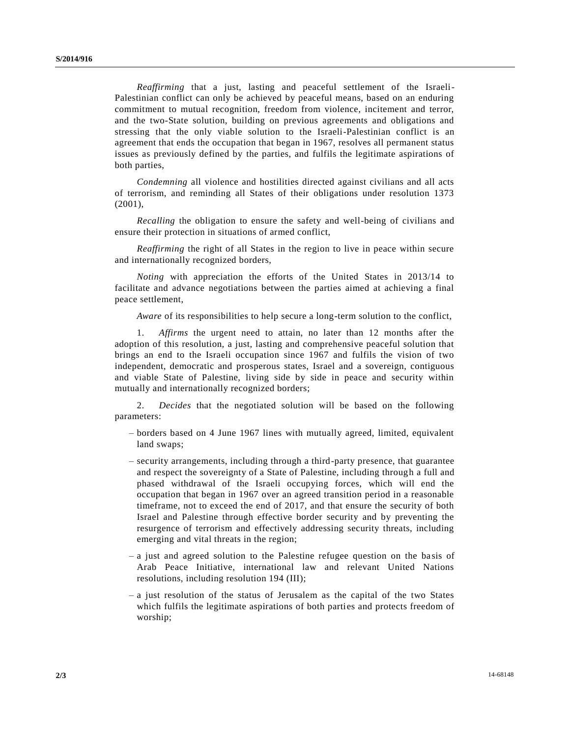*Reaffirming* that a just, lasting and peaceful settlement of the Israeli-Palestinian conflict can only be achieved by peaceful means, based on an enduring commitment to mutual recognition, freedom from violence, incitement and terror, and the two-State solution, building on previous agreements and obligations and stressing that the only viable solution to the Israeli-Palestinian conflict is an agreement that ends the occupation that began in 1967, resolves all permanent status issues as previously defined by the parties, and fulfils the legitimate aspirations of both parties,

*Condemning* all violence and hostilities directed against civilians and all acts of terrorism, and reminding all States of their obligations under resolution 1373 (2001),

*Recalling* the obligation to ensure the safety and well-being of civilians and ensure their protection in situations of armed conflict,

*Reaffirming* the right of all States in the region to live in peace within secure and internationally recognized borders,

*Noting* with appreciation the efforts of the United States in 2013/14 to facilitate and advance negotiations between the parties aimed at achieving a final peace settlement,

*Aware* of its responsibilities to help secure a long-term solution to the conflict,

1. *Affirms* the urgent need to attain, no later than 12 months after the adoption of this resolution, a just, lasting and comprehensive peaceful solution that brings an end to the Israeli occupation since 1967 and fulfils the vision of two independent, democratic and prosperous states, Israel and a sovereign, contiguous and viable State of Palestine, living side by side in peace and security within mutually and internationally recognized borders;

2. *Decides* that the negotiated solution will be based on the following parameters:

- borders based on 4 June 1967 lines with mutually agreed, limited, equivalent land swaps;
- security arrangements, including through a third-party presence, that guarantee and respect the sovereignty of a State of Palestine, including through a full and phased withdrawal of the Israeli occupying forces, which will end the occupation that began in 1967 over an agreed transition period in a reasonable timeframe, not to exceed the end of 2017, and that ensure the security of both Israel and Palestine through effective border security and by preventing the resurgence of terrorism and effectively addressing security threats, including emerging and vital threats in the region;
- $-$  a just and agreed solution to the Palestine refugee question on the basis of Arab Peace Initiative, international law and relevant United Nations resolutions, including resolution 194 (III);
- a just resolution of the status of Jerusalem as the capital of the two States which fulfils the legitimate aspirations of both parties and protects freedom of worship;